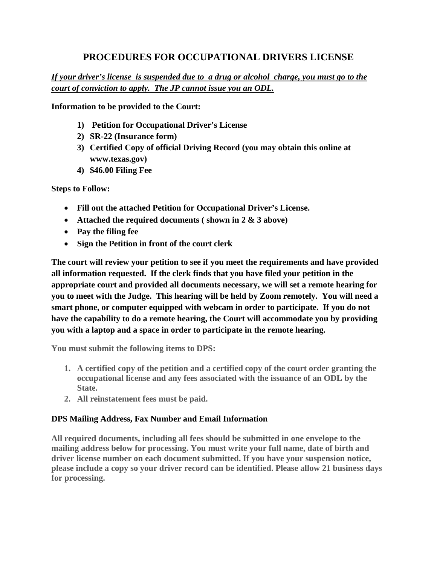# **PROCEDURES FOR OCCUPATIONAL DRIVERS LICENSE**

*If your driver's license is suspended due to a drug or alcohol charge, you must go to the court of conviction to apply. The JP cannot issue you an ODL.*

**Information to be provided to the Court:**

- **1) Petition for Occupational Driver's License**
- **2) SR-22 (Insurance form)**
- **3) Certified Copy of official Driving Record (you may obtain this online at www.texas.gov)**
- **4) \$46.00 Filing Fee**

**Steps to Follow:**

- **Fill out the attached Petition for Occupational Driver's License.**
- **Attached the required documents ( shown in 2 & 3 above)**
- **Pay the filing fee**
- **Sign the Petition in front of the court clerk**

**The court will review your petition to see if you meet the requirements and have provided all information requested. If the clerk finds that you have filed your petition in the appropriate court and provided all documents necessary, we will set a remote hearing for you to meet with the Judge. This hearing will be held by Zoom remotely. You will need a smart phone, or computer equipped with webcam in order to participate. If you do not have the capability to do a remote hearing, the Court will accommodate you by providing you with a laptop and a space in order to participate in the remote hearing.**

**You must submit the following items to DPS:**

- **1. A certified copy of the petition and a certified copy of the court order granting the occupational license and any fees associated with the issuance of an ODL by the State.**
- **2. All reinstatement fees must be paid.**

### **DPS Mailing Address, Fax Number and Email Information**

**All required documents, including all fees should be submitted in one envelope to the mailing address below for processing. You must write your full name, date of birth and driver license number on each document submitted. If you have your suspension notice, please include a copy so your driver record can be identified. Please allow 21 business days for processing.**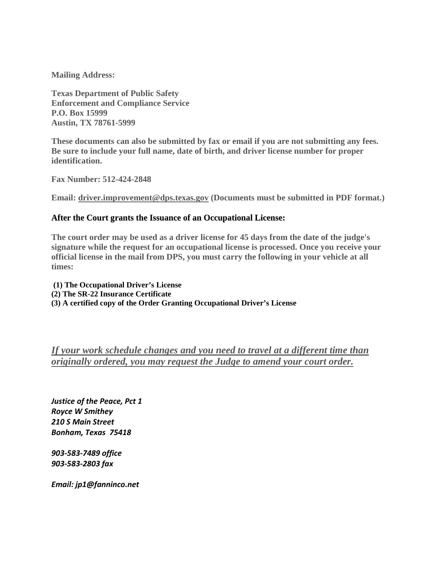**Mailing Address:**

**Texas Department of Public Safety Enforcement and Compliance Service P.O. Box 15999 Austin, TX 78761-5999**

**These documents can also be submitted by fax or email if you are not submitting any fees. Be sure to include your full name, date of birth, and driver license number for proper identification.**

**Fax Number: 512-424-2848**

**Email: driver.improvement@dps.texas.gov (Documents must be submitted in PDF format.)**

#### **After the Court grants the Issuance of an Occupational License:**

**The court order may be used as a driver license for 45 days from the date of the judge's signature while the request for an occupational license is processed. Once you receive your official license in the mail from DPS, you must carry the following in your vehicle at all times:**

**(1) The Occupational Driver's License (2) The SR-22 Insurance Certificate (3) A certified copy of the Order Granting Occupational Driver's License**

*If your work schedule changes and you need to travel at a different time than originally ordered, you may request the Judge to amend your court order.*

*Justice of the Peace, Pct 1 Royce W Smithey 210 S Main Street Bonham, Texas 75418*

*903-583-7489 office 903-583-2803 fax*

*Email: jp1@fanninco.net*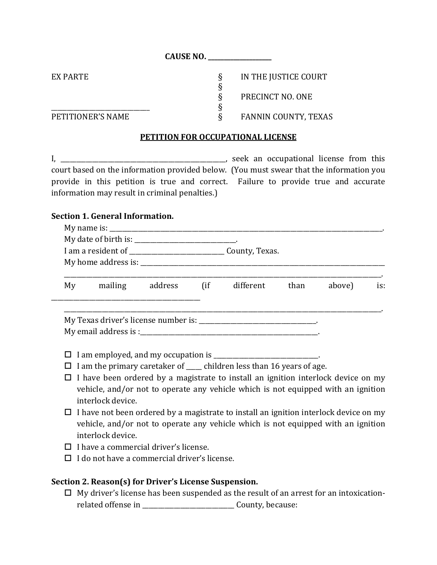**CAUSE NO. \_\_\_\_\_\_\_\_\_\_\_\_\_\_\_\_\_\_\_\_**

EX PARTE SUBSETS FOR THE JUSTICE COURT § PRECINCT NO. ONE

#### \_\_\_\_\_\_\_\_\_\_\_\_\_\_\_\_\_\_\_\_\_\_\_\_\_\_\_\_\_\_\_ § PETITIONER'S NAME SERIES SUPERFORMER'S NAME

## **PETITION FOR OCCUPATIONAL LICENSE**

§

I, \_\_\_\_\_\_\_\_\_\_\_\_\_\_\_\_\_\_\_\_\_\_\_\_\_\_\_\_\_\_\_\_\_\_\_\_\_\_\_\_\_\_\_\_\_\_\_\_\_\_\_\_, seek an occupational license from this court based on the information provided below. (You must swear that the information you provide in this petition is true and correct. Failure to provide true and accurate information may result in criminal penalties.)

## **Section 1. General Information.**

|    |  | My date of birth is: _______________________________. |                                    |  |        |     |
|----|--|-------------------------------------------------------|------------------------------------|--|--------|-----|
|    |  |                                                       |                                    |  |        |     |
| My |  |                                                       | mailing address (if different than |  | above) | is: |
|    |  |                                                       |                                    |  |        |     |
|    |  |                                                       |                                    |  |        |     |
|    |  |                                                       |                                    |  |        |     |

- $\Box$  I have been ordered by a magistrate to install an ignition interlock device on my vehicle, and/or not to operate any vehicle which is not equipped with an ignition interlock device.
- $\Box$  I have not been ordered by a magistrate to install an ignition interlock device on my vehicle, and/or not to operate any vehicle which is not equipped with an ignition interlock device.
- $\Box$  I have a commercial driver's license.
- $\Box$  I do not have a commercial driver's license.

## **Section 2. Reason(s) for Driver's License Suspension.**

 $\Box$  My driver's license has been suspended as the result of an arrest for an intoxicationrelated offense in \_\_\_\_\_\_\_\_\_\_\_\_\_\_\_\_\_\_\_\_\_\_\_\_\_\_\_\_\_ County, because: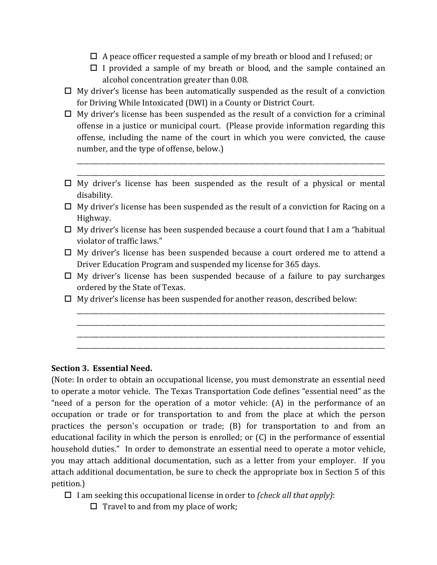- $\Box$  A peace officer requested a sample of my breath or blood and I refused; or
- $\Box$  I provided a sample of my breath or blood, and the sample contained an alcohol concentration greater than 0.08.
- $\Box$  My driver's license has been automatically suspended as the result of a conviction for Driving While Intoxicated (DWI) in a County or District Court.
- $\Box$  My driver's license has been suspended as the result of a conviction for a criminal offense in a justice or municipal court. (Please provide information regarding this offense, including the name of the court in which you were convicted, the cause number, and the type of offense, below.)
- $\Box$  My driver's license has been suspended as the result of a physical or mental disability.

\_\_\_\_\_\_\_\_\_\_\_\_\_\_\_\_\_\_\_\_\_\_\_\_\_\_\_\_\_\_\_\_\_\_\_\_\_\_\_\_\_\_\_\_\_\_\_\_\_\_\_\_\_\_\_\_\_\_\_\_\_\_\_\_\_\_\_\_\_\_\_\_\_\_\_\_\_\_\_\_\_\_\_\_\_\_\_\_\_\_\_\_\_\_\_\_\_ \_\_\_\_\_\_\_\_\_\_\_\_\_\_\_\_\_\_\_\_\_\_\_\_\_\_\_\_\_\_\_\_\_\_\_\_\_\_\_\_\_\_\_\_\_\_\_\_\_\_\_\_\_\_\_\_\_\_\_\_\_\_\_\_\_\_\_\_\_\_\_\_\_\_\_\_\_\_\_\_\_\_\_\_\_\_\_\_\_\_\_\_\_\_\_\_\_

- $\Box$  My driver's license has been suspended as the result of a conviction for Racing on a Highway.
- $\Box$  My driver's license has been suspended because a court found that I am a "habitual" violator of traffic laws."
- □ My driver's license has been suspended because a court ordered me to attend a Driver Education Program and suspended my license for 365 days.
- $\Box$  My driver's license has been suspended because of a failure to pay surcharges ordered by the State of Texas.

\_\_\_\_\_\_\_\_\_\_\_\_\_\_\_\_\_\_\_\_\_\_\_\_\_\_\_\_\_\_\_\_\_\_\_\_\_\_\_\_\_\_\_\_\_\_\_\_\_\_\_\_\_\_\_\_\_\_\_\_\_\_\_\_\_\_\_\_\_\_\_\_\_\_\_\_\_\_\_\_\_\_\_\_\_\_\_\_\_\_\_\_\_\_\_\_\_ \_\_\_\_\_\_\_\_\_\_\_\_\_\_\_\_\_\_\_\_\_\_\_\_\_\_\_\_\_\_\_\_\_\_\_\_\_\_\_\_\_\_\_\_\_\_\_\_\_\_\_\_\_\_\_\_\_\_\_\_\_\_\_\_\_\_\_\_\_\_\_\_\_\_\_\_\_\_\_\_\_\_\_\_\_\_\_\_\_\_\_\_\_\_\_\_\_ \_\_\_\_\_\_\_\_\_\_\_\_\_\_\_\_\_\_\_\_\_\_\_\_\_\_\_\_\_\_\_\_\_\_\_\_\_\_\_\_\_\_\_\_\_\_\_\_\_\_\_\_\_\_\_\_\_\_\_\_\_\_\_\_\_\_\_\_\_\_\_\_\_\_\_\_\_\_\_\_\_\_\_\_\_\_\_\_\_\_\_\_\_\_\_\_\_ \_\_\_\_\_\_\_\_\_\_\_\_\_\_\_\_\_\_\_\_\_\_\_\_\_\_\_\_\_\_\_\_\_\_\_\_\_\_\_\_\_\_\_\_\_\_\_\_\_\_\_\_\_\_\_\_\_\_\_\_\_\_\_\_\_\_\_\_\_\_\_\_\_\_\_\_\_\_\_\_\_\_\_\_\_\_\_\_\_\_\_\_\_\_\_\_\_

 $\Box$  My driver's license has been suspended for another reason, described below:

### **Section 3. Essential Need.**

(Note: In order to obtain an occupational license, you must demonstrate an essential need to operate a motor vehicle. The Texas Transportation Code defines "essential need" as the "need of a person for the operation of a motor vehicle: (A) in the performance of an occupation or trade or for transportation to and from the place at which the person practices the person's occupation or trade; (B) for transportation to and from an educational facility in which the person is enrolled; or (C) in the performance of essential household duties." In order to demonstrate an essential need to operate a motor vehicle, you may attach additional documentation, such as a letter from your employer. If you attach additional documentation, be sure to check the appropriate box in Section 5 of this petition.)

I am seeking this occupational license in order to *(check all that apply)*:

 $\Box$  Travel to and from my place of work;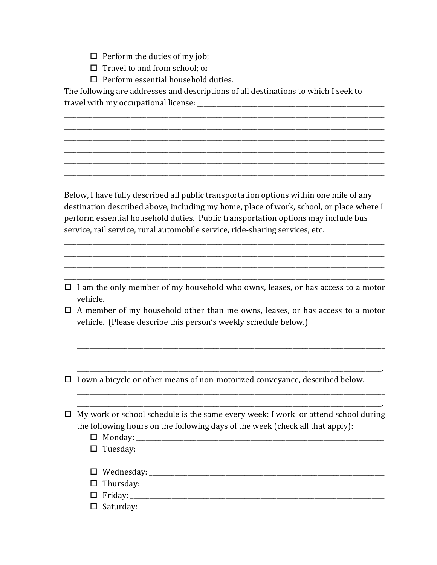- $\Box$  Perform the duties of my job;
- $\Box$  Travel to and from school; or
- $\Box$  Perform essential household duties.

The following are addresses and descriptions of all destinations to which I seek to travel with my occupational license:

Below, I have fully described all public transportation options within one mile of any destination described above, including my home, place of work, school, or place where I perform essential household duties. Public transportation options may include bus service, rail service, rural automobile service, ride-sharing services, etc.

- $\Box$  I am the only member of my household who owns, leases, or has access to a motor vehicle.
- $\Box$  A member of my household other than me owns, leases, or has access to a motor vehicle. (Please describe this person's weekly schedule below.)

 $\sim$ 

 $\Box$  I own a bicycle or other means of non-motorized conveyance, described below.

| $\Box$ My work or school schedule is the same every week: I work or attend school during |
|------------------------------------------------------------------------------------------|
| the following hours on the following days of the week (check all that apply):            |
|                                                                                          |

| □ Monday: _________________ |
|-----------------------------|
| $\Box$ Tuesday:             |
|                             |
|                             |
|                             |
|                             |
|                             |
|                             |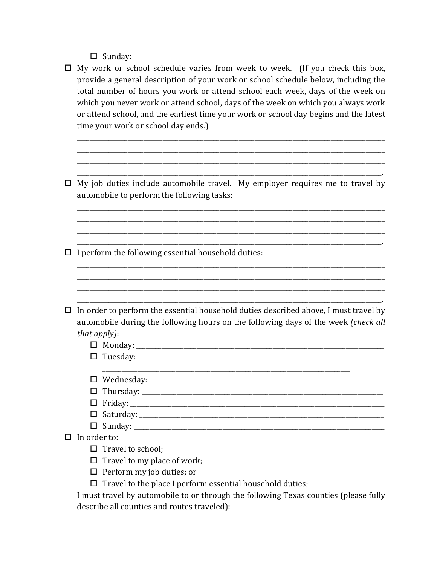Sunday: \_\_\_\_\_\_\_\_\_\_\_\_\_\_\_\_\_\_\_\_\_\_\_\_\_\_\_\_\_\_\_\_\_\_\_\_\_\_\_\_\_\_\_\_\_\_\_\_\_\_\_\_\_\_\_\_\_\_\_\_\_\_\_\_\_\_\_\_\_\_\_\_\_\_\_\_\_\_\_

 $\Box$  My work or school schedule varies from week to week. (If you check this box, provide a general description of your work or school schedule below, including the total number of hours you work or attend school each week, days of the week on which you never work or attend school, days of the week on which you always work or attend school, and the earliest time your work or school day begins and the latest time your work or school day ends.)

\_\_\_\_\_\_\_\_\_\_\_\_\_\_\_\_\_\_\_\_\_\_\_\_\_\_\_\_\_\_\_\_\_\_\_\_\_\_\_\_\_\_\_\_\_\_\_\_\_\_\_\_\_\_\_\_\_\_\_\_\_\_\_\_\_\_\_\_\_\_\_\_\_\_\_\_\_\_\_\_\_\_\_\_\_\_\_\_\_\_\_\_\_\_\_\_\_ \_\_\_\_\_\_\_\_\_\_\_\_\_\_\_\_\_\_\_\_\_\_\_\_\_\_\_\_\_\_\_\_\_\_\_\_\_\_\_\_\_\_\_\_\_\_\_\_\_\_\_\_\_\_\_\_\_\_\_\_\_\_\_\_\_\_\_\_\_\_\_\_\_\_\_\_\_\_\_\_\_\_\_\_\_\_\_\_\_\_\_\_\_\_\_\_\_ \_\_\_\_\_\_\_\_\_\_\_\_\_\_\_\_\_\_\_\_\_\_\_\_\_\_\_\_\_\_\_\_\_\_\_\_\_\_\_\_\_\_\_\_\_\_\_\_\_\_\_\_\_\_\_\_\_\_\_\_\_\_\_\_\_\_\_\_\_\_\_\_\_\_\_\_\_\_\_\_\_\_\_\_\_\_\_\_\_\_\_\_\_\_\_\_\_

\_\_\_\_\_\_\_\_\_\_\_\_\_\_\_\_\_\_\_\_\_\_\_\_\_\_\_\_\_\_\_\_\_\_\_\_\_\_\_\_\_\_\_\_\_\_\_\_\_\_\_\_\_\_\_\_\_\_\_\_\_\_\_\_\_\_\_\_\_\_\_\_\_\_\_\_\_\_\_\_\_\_\_\_\_\_\_\_\_\_\_\_\_\_\_\_.  $\Box$  My job duties include automobile travel. My employer requires me to travel by automobile to perform the following tasks:

\_\_\_\_\_\_\_\_\_\_\_\_\_\_\_\_\_\_\_\_\_\_\_\_\_\_\_\_\_\_\_\_\_\_\_\_\_\_\_\_\_\_\_\_\_\_\_\_\_\_\_\_\_\_\_\_\_\_\_\_\_\_\_\_\_\_\_\_\_\_\_\_\_\_\_\_\_\_\_\_\_\_\_\_\_\_\_\_\_\_\_\_\_\_\_\_\_ \_\_\_\_\_\_\_\_\_\_\_\_\_\_\_\_\_\_\_\_\_\_\_\_\_\_\_\_\_\_\_\_\_\_\_\_\_\_\_\_\_\_\_\_\_\_\_\_\_\_\_\_\_\_\_\_\_\_\_\_\_\_\_\_\_\_\_\_\_\_\_\_\_\_\_\_\_\_\_\_\_\_\_\_\_\_\_\_\_\_\_\_\_\_\_\_\_ \_\_\_\_\_\_\_\_\_\_\_\_\_\_\_\_\_\_\_\_\_\_\_\_\_\_\_\_\_\_\_\_\_\_\_\_\_\_\_\_\_\_\_\_\_\_\_\_\_\_\_\_\_\_\_\_\_\_\_\_\_\_\_\_\_\_\_\_\_\_\_\_\_\_\_\_\_\_\_\_\_\_\_\_\_\_\_\_\_\_\_\_\_\_\_\_\_

\_\_\_\_\_\_\_\_\_\_\_\_\_\_\_\_\_\_\_\_\_\_\_\_\_\_\_\_\_\_\_\_\_\_\_\_\_\_\_\_\_\_\_\_\_\_\_\_\_\_\_\_\_\_\_\_\_\_\_\_\_\_\_\_\_\_\_\_\_\_\_\_\_\_\_\_\_\_\_\_\_\_\_\_\_\_\_\_\_\_\_\_\_\_\_\_\_ \_\_\_\_\_\_\_\_\_\_\_\_\_\_\_\_\_\_\_\_\_\_\_\_\_\_\_\_\_\_\_\_\_\_\_\_\_\_\_\_\_\_\_\_\_\_\_\_\_\_\_\_\_\_\_\_\_\_\_\_\_\_\_\_\_\_\_\_\_\_\_\_\_\_\_\_\_\_\_\_\_\_\_\_\_\_\_\_\_\_\_\_\_\_\_\_\_

 $\Box$  I perform the following essential household duties:

- \_\_\_\_\_\_\_\_\_\_\_\_\_\_\_\_\_\_\_\_\_\_\_\_\_\_\_\_\_\_\_\_\_\_\_\_\_\_\_\_\_\_\_\_\_\_\_\_\_\_\_\_\_\_\_\_\_\_\_\_\_\_\_\_\_\_\_\_\_\_\_\_\_\_\_\_\_\_\_\_\_\_\_\_\_\_\_\_\_\_\_\_\_\_\_\_.  $\Box$  In order to perform the essential household duties described above, I must travel by automobile during the following hours on the following days of the week *(check all that apply)*:
	- Monday: \_\_\_\_\_\_\_\_\_\_\_\_\_\_\_\_\_\_\_\_\_\_\_\_\_\_\_\_\_\_\_\_\_\_\_\_\_\_\_\_\_\_\_\_\_\_\_\_\_\_\_\_\_\_\_\_\_\_\_\_\_\_\_\_\_\_\_\_\_\_\_\_\_\_\_\_\_\_
	- $\square$  Tuesday:
		- \_\_\_\_\_\_\_\_\_\_\_\_\_\_\_\_\_\_\_\_\_\_\_\_\_\_\_\_\_\_\_\_\_\_\_\_\_\_\_\_\_\_\_\_\_\_\_\_\_\_\_\_\_\_\_\_\_\_\_\_\_\_\_\_\_\_\_\_\_\_\_\_\_\_\_\_\_\_
	- Wednesday: \_\_\_\_\_\_\_\_\_\_\_\_\_\_\_\_\_\_\_\_\_\_\_\_\_\_\_\_\_\_\_\_\_\_\_\_\_\_\_\_\_\_\_\_\_\_\_\_\_\_\_\_\_\_\_\_\_\_\_\_\_\_\_\_\_\_\_\_\_\_\_\_\_\_
	- Thursday: \_\_\_\_\_\_\_\_\_\_\_\_\_\_\_\_\_\_\_\_\_\_\_\_\_\_\_\_\_\_\_\_\_\_\_\_\_\_\_\_\_\_\_\_\_\_\_\_\_\_\_\_\_\_\_\_\_\_\_\_\_\_\_\_\_\_\_\_\_\_\_\_\_\_\_\_
	- Friday: \_\_\_\_\_\_\_\_\_\_\_\_\_\_\_\_\_\_\_\_\_\_\_\_\_\_\_\_\_\_\_\_\_\_\_\_\_\_\_\_\_\_\_\_\_\_\_\_\_\_\_\_\_\_\_\_\_\_\_\_\_\_\_\_\_\_\_\_\_\_\_\_\_\_\_\_\_\_\_\_
	- Saturday: \_\_\_\_\_\_\_\_\_\_\_\_\_\_\_\_\_\_\_\_\_\_\_\_\_\_\_\_\_\_\_\_\_\_\_\_\_\_\_\_\_\_\_\_\_\_\_\_\_\_\_\_\_\_\_\_\_\_\_\_\_\_\_\_\_\_\_\_\_\_\_\_\_\_\_\_\_
	- Sunday: \_\_\_\_\_\_\_\_\_\_\_\_\_\_\_\_\_\_\_\_\_\_\_\_\_\_\_\_\_\_\_\_\_\_\_\_\_\_\_\_\_\_\_\_\_\_\_\_\_\_\_\_\_\_\_\_\_\_\_\_\_\_\_\_\_\_\_\_\_\_\_\_\_\_\_\_\_\_\_
- $\Box$  In order to:
	- $\Box$  Travel to school;
	- $\Box$  Travel to my place of work;
	- $\Box$  Perform my job duties; or
	- $\Box$  Travel to the place I perform essential household duties;

I must travel by automobile to or through the following Texas counties (please fully describe all counties and routes traveled):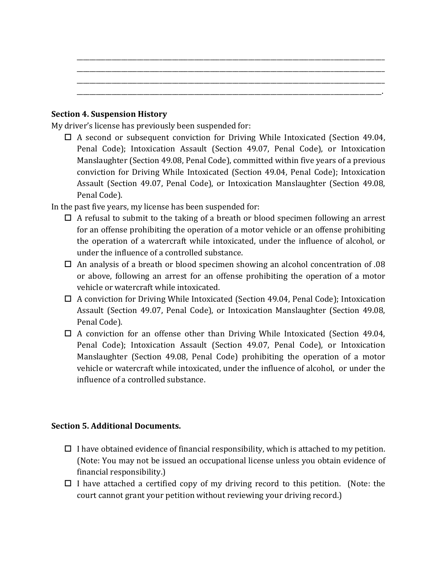#### **Section 4. Suspension History**

My driver's license has previously been suspended for:

 $\Box$  A second or subsequent conviction for Driving While Intoxicated (Section 49.04, Penal Code); Intoxication Assault (Section 49.07, Penal Code), or Intoxication Manslaughter (Section 49.08, Penal Code), committed within five years of a previous conviction for Driving While Intoxicated (Section 49.04, Penal Code); Intoxication Assault (Section 49.07, Penal Code), or Intoxication Manslaughter (Section 49.08, Penal Code).

\_\_\_\_\_\_\_\_\_\_\_\_\_\_\_\_\_\_\_\_\_\_\_\_\_\_\_\_\_\_\_\_\_\_\_\_\_\_\_\_\_\_\_\_\_\_\_\_\_\_\_\_\_\_\_\_\_\_\_\_\_\_\_\_\_\_\_\_\_\_\_\_\_\_\_\_\_\_\_\_\_\_\_\_\_\_\_\_\_\_\_\_\_\_\_\_\_ \_\_\_\_\_\_\_\_\_\_\_\_\_\_\_\_\_\_\_\_\_\_\_\_\_\_\_\_\_\_\_\_\_\_\_\_\_\_\_\_\_\_\_\_\_\_\_\_\_\_\_\_\_\_\_\_\_\_\_\_\_\_\_\_\_\_\_\_\_\_\_\_\_\_\_\_\_\_\_\_\_\_\_\_\_\_\_\_\_\_\_\_\_\_\_\_\_ \_\_\_\_\_\_\_\_\_\_\_\_\_\_\_\_\_\_\_\_\_\_\_\_\_\_\_\_\_\_\_\_\_\_\_\_\_\_\_\_\_\_\_\_\_\_\_\_\_\_\_\_\_\_\_\_\_\_\_\_\_\_\_\_\_\_\_\_\_\_\_\_\_\_\_\_\_\_\_\_\_\_\_\_\_\_\_\_\_\_\_\_\_\_\_\_\_ \_\_\_\_\_\_\_\_\_\_\_\_\_\_\_\_\_\_\_\_\_\_\_\_\_\_\_\_\_\_\_\_\_\_\_\_\_\_\_\_\_\_\_\_\_\_\_\_\_\_\_\_\_\_\_\_\_\_\_\_\_\_\_\_\_\_\_\_\_\_\_\_\_\_\_\_\_\_\_\_\_\_\_\_\_\_\_\_\_\_\_\_\_\_\_\_.

In the past five years, my license has been suspended for:

- $\Box$  A refusal to submit to the taking of a breath or blood specimen following an arrest for an offense prohibiting the operation of a motor vehicle or an offense prohibiting the operation of a watercraft while intoxicated, under the influence of alcohol, or under the influence of a controlled substance.
- $\Box$  An analysis of a breath or blood specimen showing an alcohol concentration of .08 or above, following an arrest for an offense prohibiting the operation of a motor vehicle or watercraft while intoxicated.
- $\Box$  A conviction for Driving While Intoxicated (Section 49.04, Penal Code); Intoxication Assault (Section 49.07, Penal Code), or Intoxication Manslaughter (Section 49.08, Penal Code).
- $\Box$  A conviction for an offense other than Driving While Intoxicated (Section 49.04, Penal Code); Intoxication Assault (Section 49.07, Penal Code), or Intoxication Manslaughter (Section 49.08, Penal Code) prohibiting the operation of a motor vehicle or watercraft while intoxicated, under the influence of alcohol, or under the influence of a controlled substance.

## **Section 5. Additional Documents.**

- $\Box$  I have obtained evidence of financial responsibility, which is attached to my petition. (Note: You may not be issued an occupational license unless you obtain evidence of financial responsibility.)
- $\Box$  I have attached a certified copy of my driving record to this petition. (Note: the court cannot grant your petition without reviewing your driving record.)